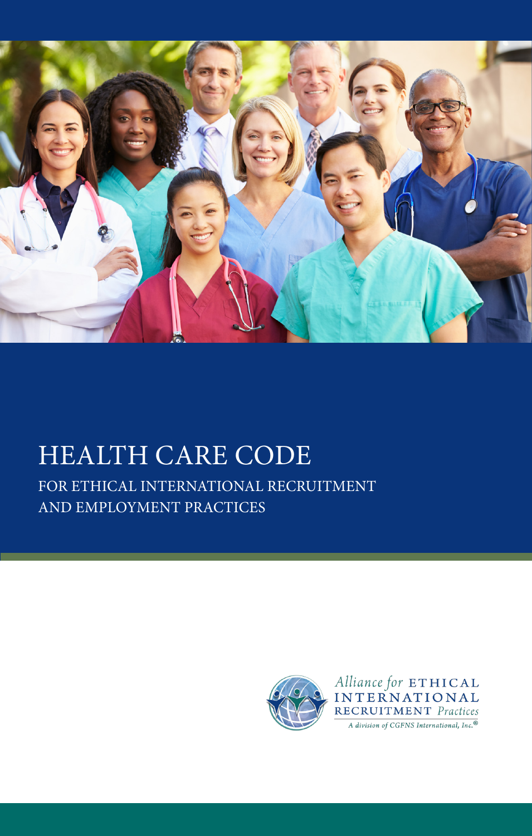

# HEALTH CARE CODE

FOR ETHICAL INTERNATIONAL RECRUITMENT AND EMPLOYMENT PRACTICES



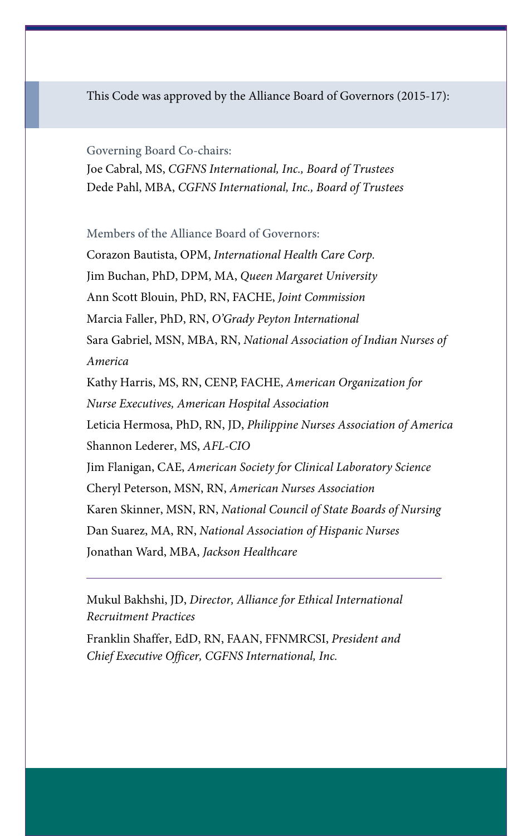This Code was approved by the Alliance Board of Governors (2015-17):

Governing Board Co-chairs:

Joe Cabral, MS, *CGFNS International, Inc., Board of Trustees* Dede Pahl, MBA, *CGFNS International, Inc., Board of Trustees*

Members of the Alliance Board of Governors:

Corazon Bautista, OPM, *International Health Care Corp.* Jim Buchan, PhD, DPM, MA, *Queen Margaret University* Ann Scott Blouin, PhD, RN, FACHE, *Joint Commission* Marcia Faller, PhD, RN, *O'Grady Peyton International* Sara Gabriel, MSN, MBA, RN, *National Association of Indian Nurses of America* Kathy Harris, MS, RN, CENP, FACHE, *American Organization for Nurse Executives, American Hospital Association* Leticia Hermosa, PhD, RN, JD, *Philippine Nurses Association of America* Shannon Lederer, MS, *AFL-CIO* Jim Flanigan, CAE, *American Society for Clinical Laboratory Science* Cheryl Peterson, MSN, RN, *American Nurses Association* Karen Skinner, MSN, RN, *National Council of State Boards of Nursing* Dan Suarez, MA, RN, *National Association of Hispanic Nurses* Jonathan Ward, MBA, *Jackson Healthcare*

Mukul Bakhshi, JD, *Director, Alliance for Ethical International Recruitment Practices*

Franklin Shaffer, EdD, RN, FAAN, FFNMRCSI, *President and Chief Executive Officer, CGFNS International, Inc.*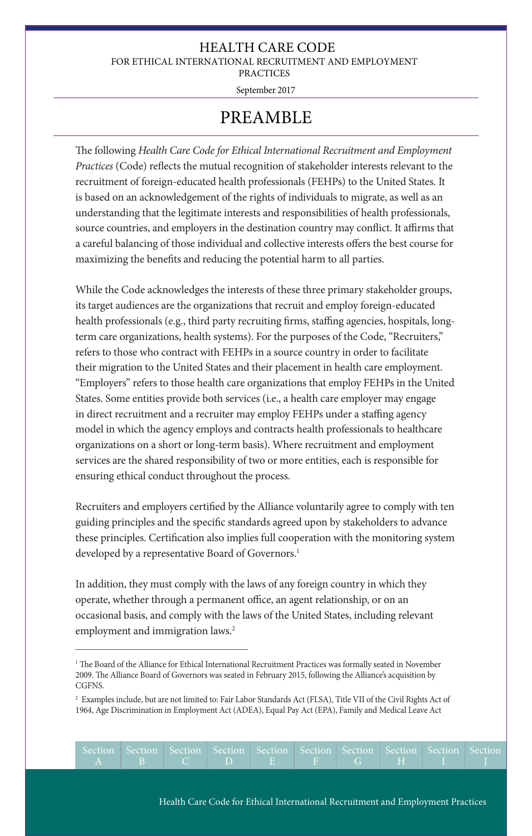### HEALTH CARE CODE

FOR ETHICAL INTERNATIONAL RECRUITMENT AND EMPLOYMENT

PRACTICES

September 2017

### PREAMBLE

The following *Health Care Code for Ethical International Recruitment and Employment Practices* (Code) reflects the mutual recognition of stakeholder interests relevant to the recruitment of foreign-educated health professionals (FEHPs) to the United States. It is based on an acknowledgement of the rights of individuals to migrate, as well as an understanding that the legitimate interests and responsibilities of health professionals, source countries, and employers in the destination country may conflict. It affirms that a careful balancing of those individual and collective interests offers the best course for maximizing the benefits and reducing the potential harm to all parties.

While the Code acknowledges the interests of these three primary stakeholder groups, its target audiences are the organizations that recruit and employ foreign-educated health professionals (e.g., third party recruiting firms, staffing agencies, hospitals, longterm care organizations, health systems). For the purposes of the Code, "Recruiters," refers to those who contract with FEHPs in a source country in order to facilitate their migration to the United States and their placement in health care employment. "Employers" refers to those health care organizations that employ FEHPs in the United States. Some entities provide both services (i.e., a health care employer may engage in direct recruitment and a recruiter may employ FEHPs under a staffing agency model in which the agency employs and contracts health professionals to healthcare organizations on a short or long-term basis). Where recruitment and employment services are the shared responsibility of two or more entities, each is responsible for ensuring ethical conduct throughout the process.

Recruiters and employers certified by the Alliance voluntarily agree to comply with ten guiding principles and the specific standards agreed upon by stakeholders to advance these principles. Certification also implies full cooperation with the monitoring system developed by a representative Board of Governors.<sup>1</sup>

In addition, they must comply with the laws of any foreign country in which they operate, whether through a permanent office, an agent relationship, or on an occasional basis, and comply with the laws of the United States, including relevant employment and immigration laws.<sup>2</sup>

<sup>2</sup> Examples include, but are not limited to: Fair Labor Standards Act (FLSA), Title VII of the Civil Rights Act of 1964, Age Discrimination in Employment Act (ADEA), Equal Pay Act (EPA), Family and Medical Leave Act

| Section Section Section Section Section Section Section Section Section Section |  |  |  |  |  |
|---------------------------------------------------------------------------------|--|--|--|--|--|
|                                                                                 |  |  |  |  |  |

<sup>1</sup> The Board of the Alliance for Ethical International Recruitment Practices was formally seated in November 2009. The Alliance Board of Governors was seated in February 2015, following the Alliance's acquisition by CGFNS.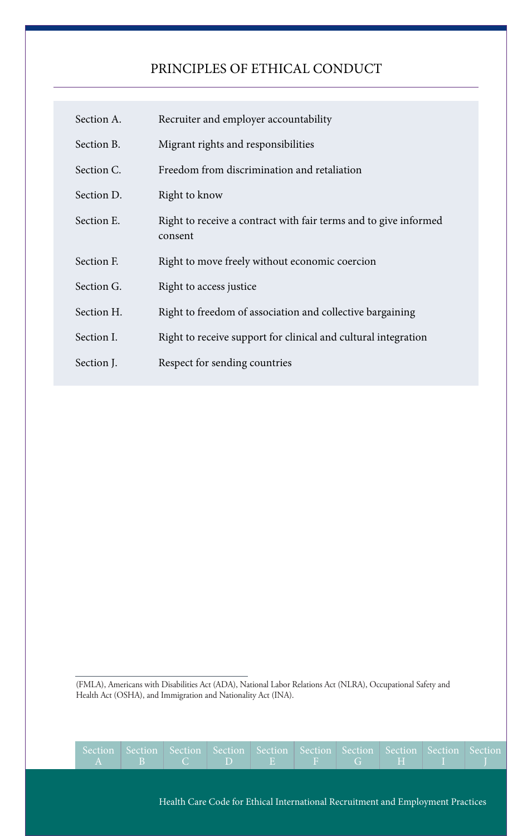### PRINCIPLES OF ETHICAL CONDUCT

| Section A. | Recruiter and employer accountability                                       |
|------------|-----------------------------------------------------------------------------|
| Section B. | Migrant rights and responsibilities                                         |
| Section C. | Freedom from discrimination and retaliation                                 |
| Section D. | Right to know                                                               |
| Section E. | Right to receive a contract with fair terms and to give informed<br>consent |
| Section F. | Right to move freely without economic coercion                              |
| Section G. | Right to access justice                                                     |
| Section H. | Right to freedom of association and collective bargaining                   |
| Section I. | Right to receive support for clinical and cultural integration              |
| Section J. | Respect for sending countries                                               |

(FMLA), Americans with Disabilities Act (ADA), National Labor Relations Act (NLRA), Occupational Safety and Health Act (OSHA), and Immigration and Nationality Act (INA).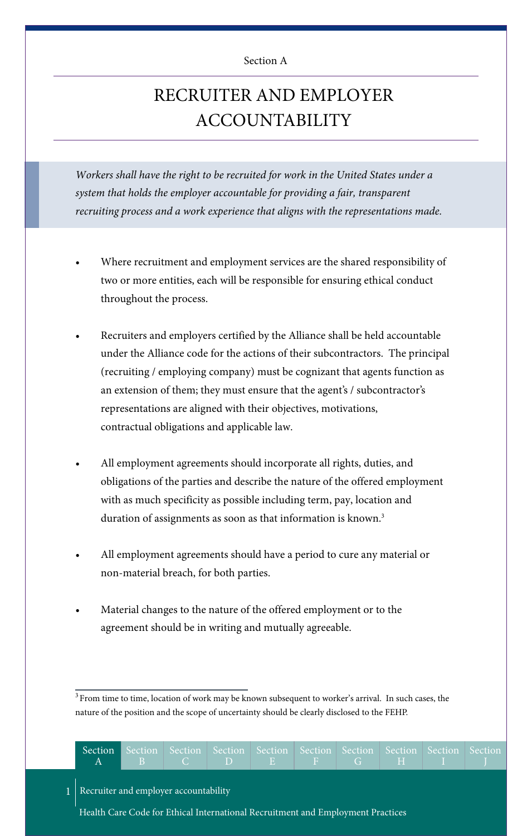#### Section A

### RECRUITER AND EMPLOYER ACCOUNTABILITY

*Workers shall have the right to be recruited for work in the United States under a system that holds the employer accountable for providing a fair, transparent recruiting process and a work experience that aligns with the representations made.*

- Where recruitment and employment services are the shared responsibility of two or more entities, each will be responsible for ensuring ethical conduct throughout the process.
- Recruiters and employers certified by the Alliance shall be held accountable under the Alliance code for the actions of their subcontractors. The principal (recruiting / employing company) must be cognizant that agents function as an extension of them; they must ensure that the agent's / subcontractor's representations are aligned with their objectives, motivations, contractual obligations and applicable law.
- All employment agreements should incorporate all rights, duties, and obligations of the parties and describe the nature of the offered employment with as much specificity as possible including term, pay, location and duration of assignments as soon as that information is known.<sup>3</sup>
- All employment agreements should have a period to cure any material or non-material breach, for both parties.
- Material changes to the nature of the offered employment or to the agreement should be in writing and mutually agreeable.

<sup>&</sup>lt;sup>3</sup> From time to time, location of work may be known subsequent to worker's arrival. In such cases, the nature of the position and the scope of uncertainty should be clearly disclosed to the FEHP.

| Section                                 | Section Section Section Section Section Section Section Section Section<br>$A \parallel B \parallel C \parallel D \parallel E \parallel F \parallel G \parallel H \parallel I$ |  |  |  |  |
|-----------------------------------------|--------------------------------------------------------------------------------------------------------------------------------------------------------------------------------|--|--|--|--|
| 1 Recruiter and employer accountability |                                                                                                                                                                                |  |  |  |  |
|                                         | Health Care Code for Ethical International Recruitment and Employment Practices                                                                                                |  |  |  |  |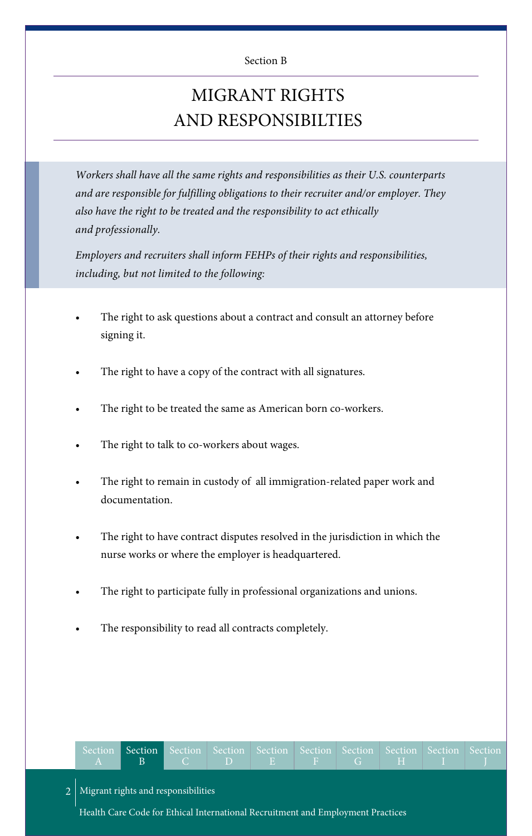#### Section B

## MIGRANT RIGHTS AND RESPONSIBILTIES

*Workers shall have all the same rights and responsibilities as their U.S. counterparts and are responsible for fulfilling obligations to their recruiter and/or employer. They also have the right to be treated and the responsibility to act ethically and professionally.*

*Employers and recruiters shall inform FEHPs of their rights and responsibilities, including, but not limited to the following:*

- The right to ask questions about a contract and consult an attorney before signing it.
- The right to have a copy of the contract with all signatures.
- The right to be treated the same as American born co-workers.
- The right to talk to co-workers about wages.
- The right to remain in custody of all immigration-related paper work and documentation.
- The right to have contract disputes resolved in the jurisdiction in which the nurse works or where the employer is headquartered.
- The right to participate fully in professional organizations and unions.
- The responsibility to read all contracts completely.

|  |  |  | Section Section Section Section Section Section Section Section Section Section |  |  |
|--|--|--|---------------------------------------------------------------------------------|--|--|
|  |  |  |                                                                                 |  |  |

2 Migrant rights and responsibilities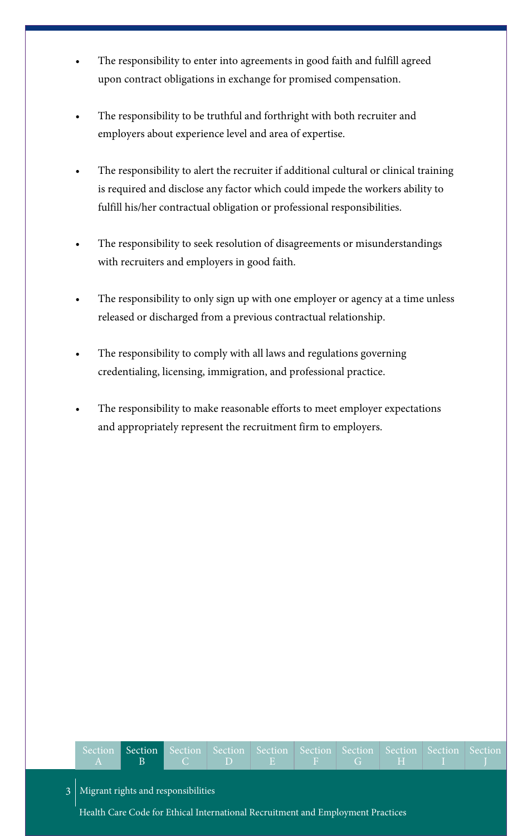- The responsibility to enter into agreements in good faith and fulfill agreed upon contract obligations in exchange for promised compensation.
- The responsibility to be truthful and forthright with both recruiter and employers about experience level and area of expertise.
- The responsibility to alert the recruiter if additional cultural or clinical training is required and disclose any factor which could impede the workers ability to fulfill his/her contractual obligation or professional responsibilities.
- The responsibility to seek resolution of disagreements or misunderstandings with recruiters and employers in good faith.
- The responsibility to only sign up with one employer or agency at a time unless released or discharged from a previous contractual relationship.
- The responsibility to comply with all laws and regulations governing credentialing, licensing, immigration, and professional practice.
- The responsibility to make reasonable efforts to meet employer expectations and appropriately represent the recruitment firm to employers.

| Section Section Section Section Section Section Section Section Section Section |  |  |  |  |  |
|---------------------------------------------------------------------------------|--|--|--|--|--|
|                                                                                 |  |  |  |  |  |

Migrant rights and responsibilities

3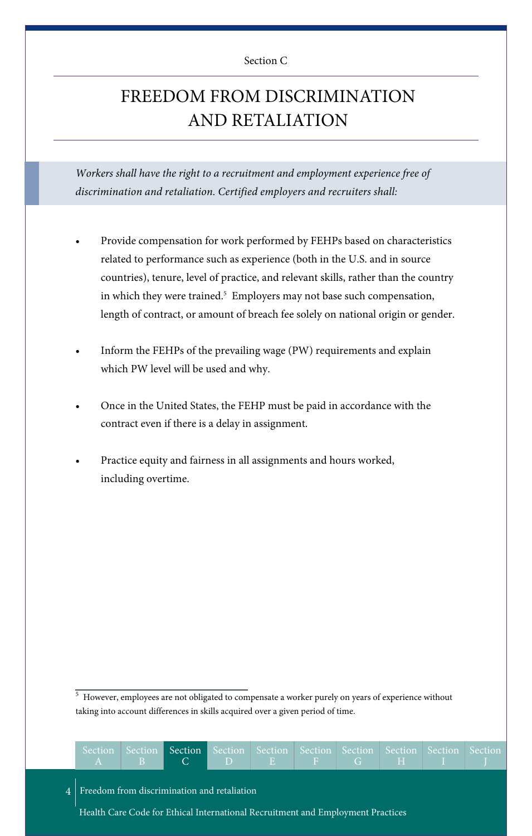#### Section C

### FREEDOM FROM DISCRIMINATION AND RETALIATION

*Workers shall have the right to a recruitment and employment experience free of discrimination and retaliation. Certified employers and recruiters shall:*

- Provide compensation for work performed by FEHPs based on characteristics related to performance such as experience (both in the U.S. and in source countries), tenure, level of practice, and relevant skills, rather than the country in which they were trained.<sup>5</sup> Employers may not base such compensation, length of contract, or amount of breach fee solely on national origin or gender.
- Inform the FEHPs of the prevailing wage (PW) requirements and explain which PW level will be used and why.
- Once in the United States, the FEHP must be paid in accordance with the contract even if there is a delay in assignment.
- Practice equity and fairness in all assignments and hours worked, including overtime.

<sup>5</sup> However, employees are not obligated to compensate a worker purely on years of experience without taking into account differences in skills acquired over a given period of time.

| Section<br>$\mathbf{A}$ | $\overline{AB}$ | $\sim$ C $\sim$                                                                 | $\Box$ D $\Box$ E $\Box$ | $F \cup G$ | Section Section Section Section Section Section Section Section Section<br><b>STATISTICS</b> |  |
|-------------------------|-----------------|---------------------------------------------------------------------------------|--------------------------|------------|----------------------------------------------------------------------------------------------|--|
|                         |                 | 4   Freedom from discrimination and retaliation                                 |                          |            |                                                                                              |  |
|                         |                 | Health Care Code for Ethical International Recruitment and Employment Practices |                          |            |                                                                                              |  |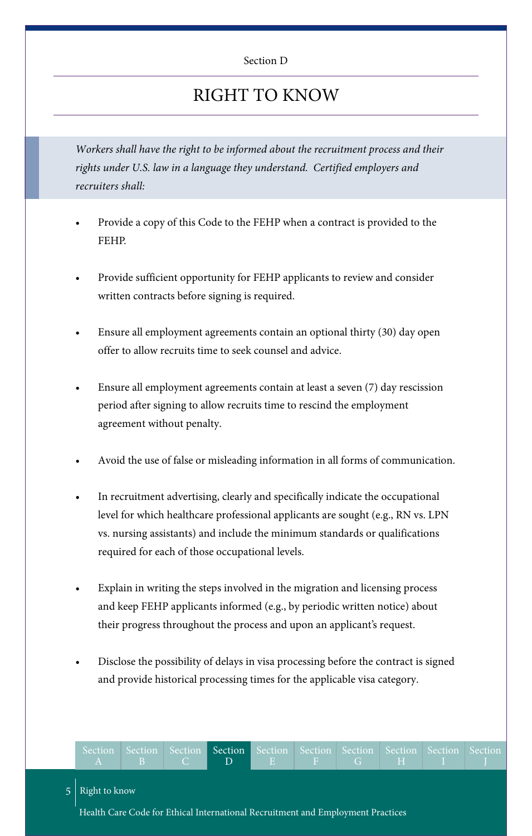#### Section D

### RIGHT TO KNOW

*Workers shall have the right to be informed about the recruitment process and their rights under U.S. law in a language they understand. Certified employers and recruiters shall:*

- Provide a copy of this Code to the FEHP when a contract is provided to the FEHP.
- Provide sufficient opportunity for FEHP applicants to review and consider written contracts before signing is required.
- Ensure all employment agreements contain an optional thirty (30) day open offer to allow recruits time to seek counsel and advice.
- Ensure all employment agreements contain at least a seven (7) day rescission period after signing to allow recruits time to rescind the employment agreement without penalty.
- Avoid the use of false or misleading information in all forms of communication.
- In recruitment advertising, clearly and specifically indicate the occupational level for which healthcare professional applicants are sought (e.g., RN vs. LPN vs. nursing assistants) and include the minimum standards or qualifications required for each of those occupational levels.
- Explain in writing the steps involved in the migration and licensing process and keep FEHP applicants informed (e.g., by periodic written notice) about their progress throughout the process and upon an applicant's request.
- Disclose the possibility of delays in visa processing before the contract is signed and provide historical processing times for the applicable visa category.

| $\blacktriangledown$ A $\blacktriangledown$ |  | Section Section Section Section Section Section Section Section Section Section<br>B C D E F G H I |  |  |  |
|---------------------------------------------|--|----------------------------------------------------------------------------------------------------|--|--|--|
| $5$ Right to know                           |  |                                                                                                    |  |  |  |
|                                             |  | Health Care Code for Ethical International Recruitment and Employment Practices                    |  |  |  |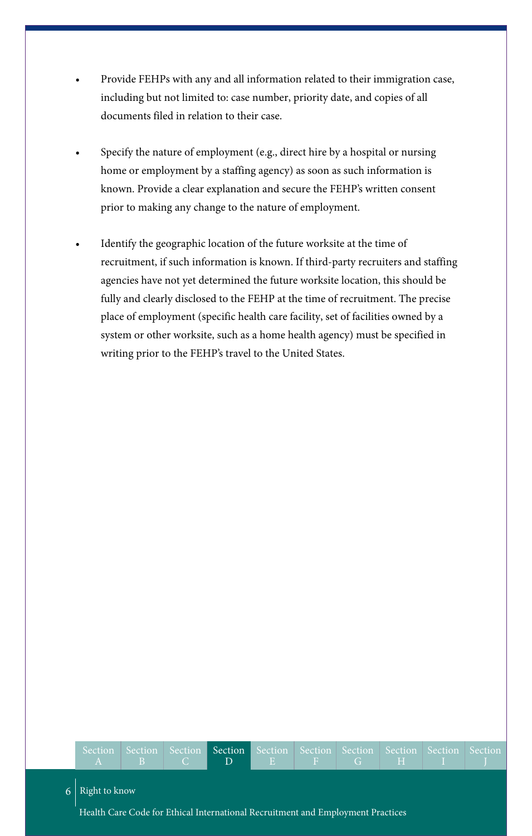- Provide FEHPs with any and all information related to their immigration case, including but not limited to: case number, priority date, and copies of all documents filed in relation to their case.
- Specify the nature of employment (e.g., direct hire by a hospital or nursing home or employment by a staffing agency) as soon as such information is known. Provide a clear explanation and secure the FEHP's written consent prior to making any change to the nature of employment.
- Identify the geographic location of the future worksite at the time of recruitment, if such information is known. If third-party recruiters and staffing agencies have not yet determined the future worksite location, this should be fully and clearly disclosed to the FEHP at the time of recruitment. The precise place of employment (specific health care facility, set of facilities owned by a system or other worksite, such as a home health agency) must be specified in writing prior to the FEHP's travel to the United States.

6 Right to know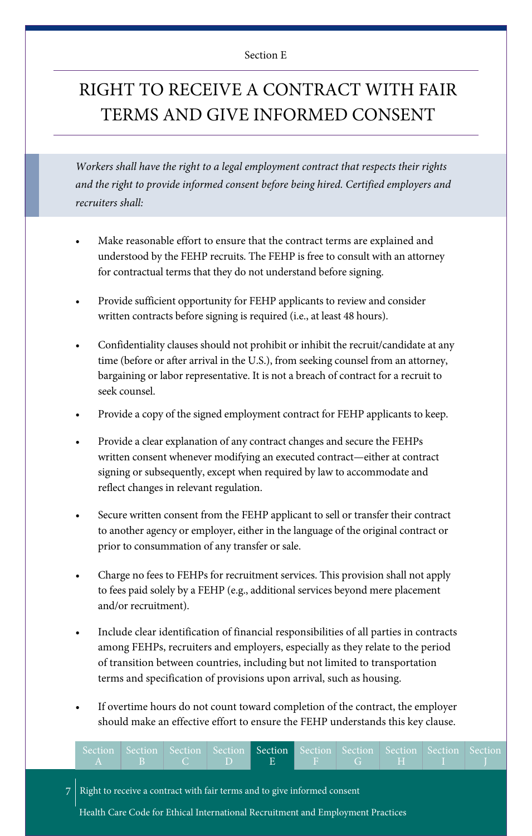#### Section E

### RIGHT TO RECEIVE A CONTRACT WITH FAIR TERMS AND GIVE INFORMED CONSENT

*Workers shall have the right to a legal employment contract that respects their rights and the right to provide informed consent before being hired. Certified employers and recruiters shall:*

- Make reasonable effort to ensure that the contract terms are explained and understood by the FEHP recruits. The FEHP is free to consult with an attorney for contractual terms that they do not understand before signing.
- Provide sufficient opportunity for FEHP applicants to review and consider written contracts before signing is required (i.e., at least 48 hours).
- Confidentiality clauses should not prohibit or inhibit the recruit/candidate at any time (before or after arrival in the U.S.), from seeking counsel from an attorney, bargaining or labor representative. It is not a breach of contract for a recruit to seek counsel.
- Provide a copy of the signed employment contract for FEHP applicants to keep.
- Provide a clear explanation of any contract changes and secure the FEHPs written consent whenever modifying an executed contract—either at contract signing or subsequently, except when required by law to accommodate and reflect changes in relevant regulation.
- Secure written consent from the FEHP applicant to sell or transfer their contract to another agency or employer, either in the language of the original contract or prior to consummation of any transfer or sale.
- Charge no fees to FEHPs for recruitment services. This provision shall not apply to fees paid solely by a FEHP (e.g., additional services beyond mere placement and/or recruitment).
- Include clear identification of financial responsibilities of all parties in contracts among FEHPs, recruiters and employers, especially as they relate to the period of transition between countries, including but not limited to transportation terms and specification of provisions upon arrival, such as housing.
- If overtime hours do not count toward completion of the contract, the employer should make an effective effort to ensure the FEHP understands this key clause.

| Section Section Section Section Section Section Section Section Section Section |  |              |  |  |  |
|---------------------------------------------------------------------------------|--|--------------|--|--|--|
|                                                                                 |  | 'BLCDIEFFIGH |  |  |  |

Right to receive a contract with fair terms and to give informed consent

7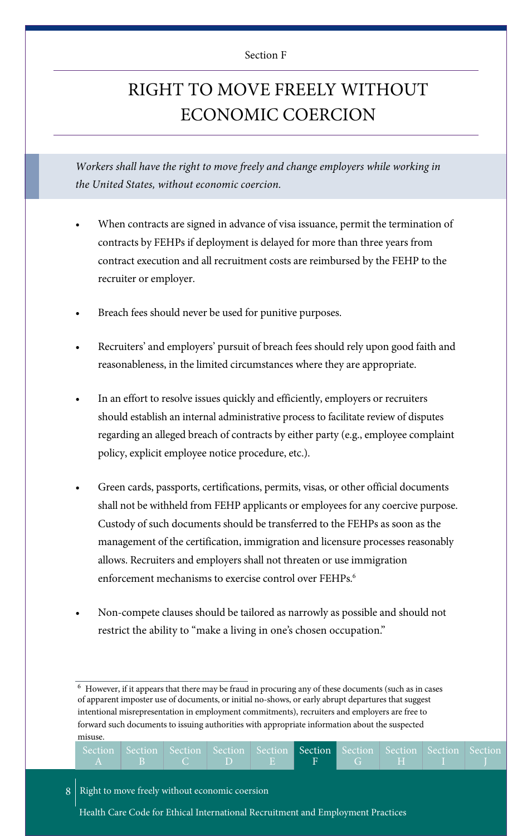#### Section F

### RIGHT TO MOVE FREELY WITHOUT ECONOMIC COERCION

Workers shall have the right to move freely and change employers while working in *the United States, without economic coercion.*

- When contracts are signed in advance of visa issuance, permit the termination of contracts by FEHPs if deployment is delayed for more than three years from contract execution and all recruitment costs are reimbursed by the FEHP to the recruiter or employer.
- Breach fees should never be used for punitive purposes.
- Recruiters' and employers' pursuit of breach fees should rely upon good faith and reasonableness, in the limited circumstances where they are appropriate.
- In an effort to resolve issues quickly and efficiently, employers or recruiters should establish an internal administrative process to facilitate review of disputes regarding an alleged breach of contracts by either party (e.g., employee complaint policy, explicit employee notice procedure, etc.).
- Green cards, passports, certifications, permits, visas, or other official documents shall not be withheld from FEHP applicants or employees for any coercive purpose. Custody of such documents should be transferred to the FEHPs as soon as the management of the certification, immigration and licensure processes reasonably allows. Recruiters and employers shall not threaten or use immigration enforcement mechanisms to exercise control over FEHPs. 6
- Non-compete clauses should be tailored as narrowly as possible and should not restrict the ability to "make a living in one's chosen occupation."

<sup>6</sup> However, if it appears that there may be fraud in procuring any of these documents (such as in cases of apparent imposter use of documents, or initial no-shows, or early abrupt departures that suggest intentional misrepresentation in employment commitments), recruiters and employers are free to forward such documents to issuing authorities with appropriate information about the suspected misuse.

| Section Section Section Section Section Section Section Section Section Section |  |  |  |  |  |
|---------------------------------------------------------------------------------|--|--|--|--|--|
|                                                                                 |  |  |  |  |  |

#### 8 Right to move freely without economic coersion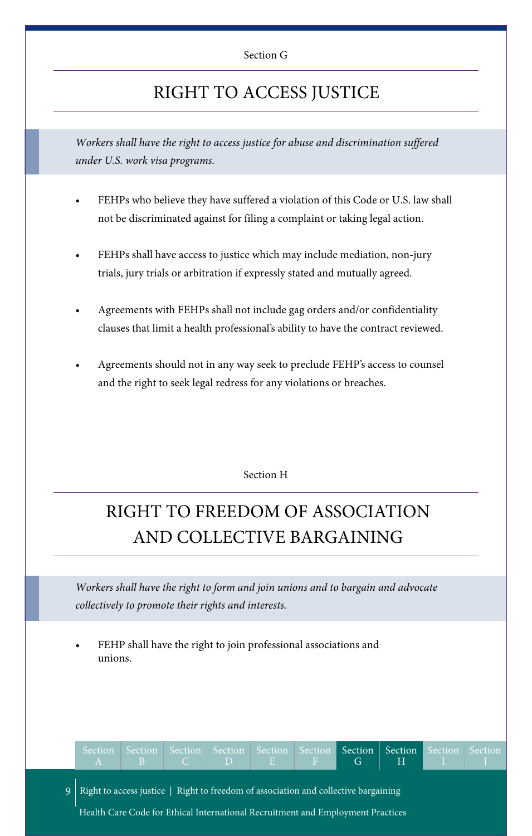### RIGHT TO ACCESS JUSTICE

*Workers shall have the right to access justice for abuse and discrimination suffered under U.S. work visa programs.*

- FEHPs who believe they have suffered a violation of this Code or U.S. law shall not be discriminated against for filing a complaint or taking legal action.
- FEHPs shall have access to justice which may include mediation, non-jury trials, jury trials or arbitration if expressly stated and mutually agreed.
- Agreements with FEHPs shall not include gag orders and/or confidentiality clauses that limit a health professional's ability to have the contract reviewed.
- Agreements should not in any way seek to preclude FEHP's access to counsel and the right to seek legal redress for any violations or breaches.

#### Section H

## RIGHT TO FREEDOM OF ASSOCIATION AND COLLECTIVE BARGAINING

*Workers shall have the right to form and join unions and to bargain and advocate collectively to promote their rights and interests.*

FEHP shall have the right to join professional associations and unions.

|                                                                                         |  |  |  | Section Section Section Section Section Section Section Section Section Section<br>ABCDEF G HIJJ |  |  |  |  |  |  |  |
|-----------------------------------------------------------------------------------------|--|--|--|--------------------------------------------------------------------------------------------------|--|--|--|--|--|--|--|
| 9   Right to access justice   Right to freedom of association and collective bargaining |  |  |  |                                                                                                  |  |  |  |  |  |  |  |
| Health Care Code for Ethical International Recruitment and Employment Practices         |  |  |  |                                                                                                  |  |  |  |  |  |  |  |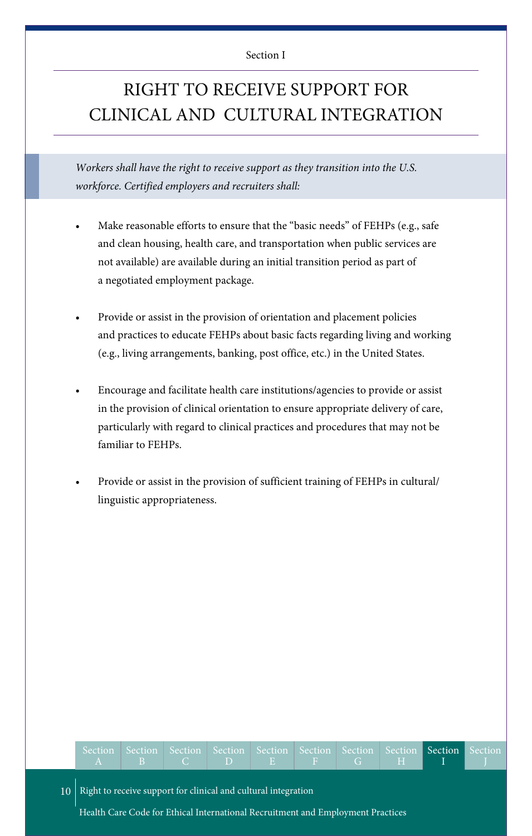#### Section I

### RIGHT TO RECEIVE SUPPORT FOR CLINICAL AND CULTURAL INTEGRATION

*Workers shall have the right to receive support as they transition into the U.S. workforce. Certified employers and recruiters shall:*

- Make reasonable efforts to ensure that the "basic needs" of FEHPs (e.g., safe and clean housing, health care, and transportation when public services are not available) are available during an initial transition period as part of a negotiated employment package.
- Provide or assist in the provision of orientation and placement policies and practices to educate FEHPs about basic facts regarding living and working (e.g., living arrangements, banking, post office, etc.) in the United States.
- Encourage and facilitate health care institutions/agencies to provide or assist in the provision of clinical orientation to ensure appropriate delivery of care, particularly with regard to clinical practices and procedures that may not be familiar to FEHPs.
- Provide or assist in the provision of sufficient training of FEHPs in cultural/ linguistic appropriateness.

| Section Section Section Section Section Section Section Section Section Section |  | BCDEFGHIII |  |  |  |  |  |  |  |
|---------------------------------------------------------------------------------|--|------------|--|--|--|--|--|--|--|
|---------------------------------------------------------------------------------|--|------------|--|--|--|--|--|--|--|

10 Right to receive support for clinical and cultural integration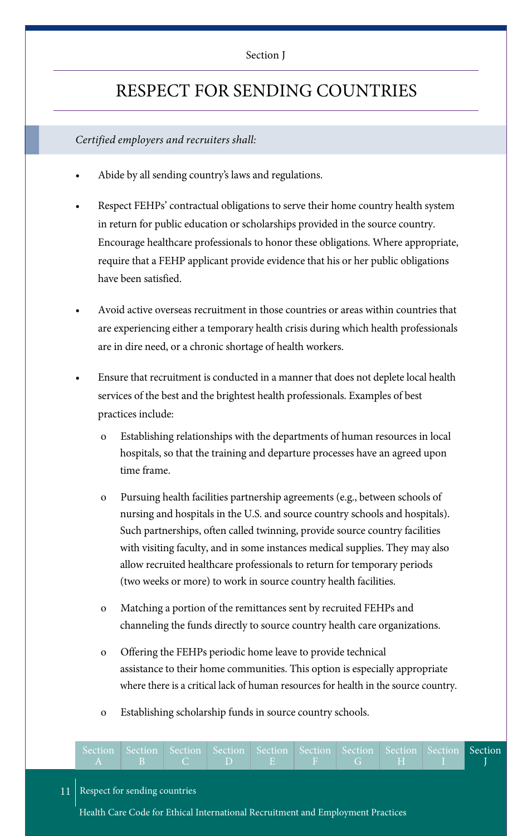#### Section J

### RESPECT FOR SENDING COUNTRIES

### *Certified employers and recruiters shall:*

- Abide by all sending country's laws and regulations.
- Respect FEHPs' contractual obligations to serve their home country health system in return for public education or scholarships provided in the source country. Encourage healthcare professionals to honor these obligations. Where appropriate, require that a FEHP applicant provide evidence that his or her public obligations have been satisfied.
- Avoid active overseas recruitment in those countries or areas within countries that are experiencing either a temporary health crisis during which health professionals are in dire need, or a chronic shortage of health workers.
- Ensure that recruitment is conducted in a manner that does not deplete local health services of the best and the brightest health professionals. Examples of best practices include:
	- o Establishing relationships with the departments of human resources in local hospitals, so that the training and departure processes have an agreed upon time frame.
	- o Pursuing health facilities partnership agreements (e.g., between schools of nursing and hospitals in the U.S. and source country schools and hospitals). Such partnerships, often called twinning, provide source country facilities with visiting faculty, and in some instances medical supplies. They may also allow recruited healthcare professionals to return for temporary periods (two weeks or more) to work in source country health facilities.
	- o Matching a portion of the remittances sent by recruited FEHPs and channeling the funds directly to source country health care organizations.
	- o Offering the FEHPs periodic home leave to provide technical assistance to their home communities. This option is especially appropriate where there is a critical lack of human resources for health in the source country.
	- o Establishing scholarship funds in source country schools.

| Section Section Section Section Section Section Section Section Section Section |  |  |  |  |  |
|---------------------------------------------------------------------------------|--|--|--|--|--|
|                                                                                 |  |  |  |  |  |

#### 11 Respect for sending countries